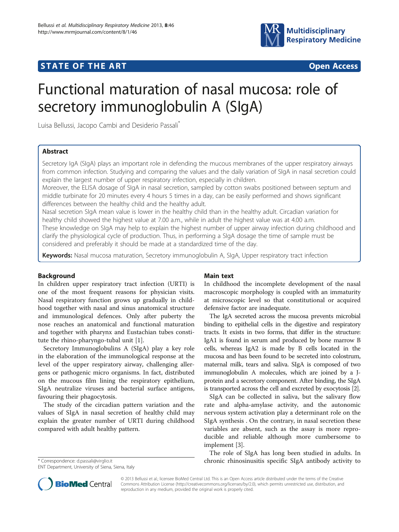

## **STATE OF THE ART STATE OF THE ART**



# Functional maturation of nasal mucosa: role of secretory immunoglobulin A (SIgA)

Luisa Bellussi, Jacopo Cambi and Desiderio Passali\*

## Abstract

Secretory IgA (SIgA) plays an important role in defending the mucous membranes of the upper respiratory airways from common infection. Studying and comparing the values and the daily variation of SIgA in nasal secretion could explain the largest number of upper respiratory infection, especially in children.

Moreover, the ELISA dosage of SIgA in nasal secretion, sampled by cotton swabs positioned between septum and middle turbinate for 20 minutes every 4 hours 5 times in a day, can be easily performed and shows significant differences between the healthy child and the healthy adult.

Nasal secretion SIgA mean value is lower in the healthy child than in the healthy adult. Circadian variation for healthy child showed the highest value at 7.00 a.m., while in adult the highest value was at 4.00 a.m.

These knowledge on SIgA may help to explain the highest number of upper airway infection during childhood and clarify the physiological cycle of production. Thus, in performing a SIgA dosage the time of sample must be considered and preferably it should be made at a standardized time of the day.

Keywords: Nasal mucosa maturation, Secretory immunoglobulin A, SIgA, Upper respiratory tract infection

## Background

In children upper respiratory tract infection (URTI) is one of the most frequent reasons for physician visits. Nasal respiratory function grows up gradually in childhood together with nasal and sinus anatomical structure and immunological defences. Only after puberty the nose reaches an anatomical and functional maturation and together with pharynx and Eustachian tubes constitute the rhino-pharyngo-tubal unit [\[1\]](#page-2-0).

Secretory Immunoglobulins A (SIgA) play a key role in the elaboration of the immunological response at the level of the upper respiratory airway, challenging allergens or pathogenic micro organisms. In fact, distributed on the mucous film lining the respiratory epithelium, SIgA neutralize viruses and bacterial surface antigens, favouring their phagocytosis.

The study of the circadian pattern variation and the values of SIgA in nasal secretion of healthy child may explain the greater number of URTI during childhood compared with adult healthy pattern.

ENT Department, University of Siena, Siena, Italy

## Main text

In childhood the incomplete development of the nasal macroscopic morphology is coupled with an immaturity at microscopic level so that constitutional or acquired defensive factor are inadequate.

The IgA secreted across the mucosa prevents microbial binding to epithelial cells in the digestive and respiratory tracts. It exists in two forms, that differ in the structure: IgA1 is found in serum and produced by bone marrow B cells, whereas IgA2 is made by B cells located in the mucosa and has been found to be secreted into colostrum, maternal milk, tears and saliva. SIgA is composed of two immunoglobulin A molecules, which are joined by a Jprotein and a secretory component. After binding, the SIgA is transported across the cell and excreted by exocytosis [\[2\]](#page-2-0).

SIgA can be collected in saliva, but the salivary flow rate and alpha-amylase activity, and the autonomic nervous system activation play a determinant role on the SIgA synthesis . On the contrary, in nasal secretion these variables are absent, such as the assay is more reproducible and reliable although more cumbersome to implement [[3\]](#page-2-0).

The role of SIgA has long been studied in adults. In \* Correspondence: [d.passali@virglio.it](mailto:d.passali@virglio.it) chronic rhinosinusitis specific SIgA antibody activity to



© 2013 Bellussi et al.; licensee BioMed Central Ltd. This is an Open Access article distributed under the terms of the Creative Commons Attribution License [\(http://creativecommons.org/licenses/by/2.0\)](http://creativecommons.org/licenses/by/2.0), which permits unrestricted use, distribution, and reproduction in any medium, provided the original work is properly cited.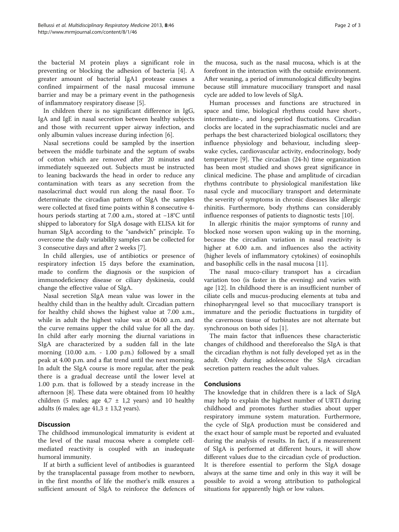the bacterial M protein plays a significant role in preventing or blocking the adhesion of bacteria [[4\]](#page-2-0). A greater amount of bacterial IgA1 protease causes a confined impairment of the nasal mucosal immune barrier and may be a primary event in the pathogenesis of inflammatory respiratory disease [\[5](#page-2-0)].

In children there is no significant difference in IgG, IgA and IgE in nasal secretion between healthy subjects and those with recurrent upper airway infection, and only albumin values increase during infection [[6](#page-2-0)].

Nasal secretions could be sampled by the insertion between the middle turbinate and the septum of swabs of cotton which are removed after 20 minutes and immediately squeezed out. Subjects must be instructed to leaning backwards the head in order to reduce any contamination with tears as any secretion from the nasolacrimal duct would run along the nasal floor. To determinate the circadian pattern of SIgA the samples were collected at fixed time points within 8 consecutive 4 hours periods starting at 7.00 a.m., stored at −18°C until shipped to laboratory for SIgA dosage with ELISA kit for human SIgA according to the "sandwich" principle. To overcome the daily variability samples can be collected for 3 consecutive days and after 2 weeks [[7\]](#page-2-0).

In child allergies, use of antibiotics or presence of respiratory infection 15 days before the examination, made to confirm the diagnosis or the suspicion of immunodeficiency disease or ciliary dyskinesia, could change the effective value of SIgA.

Nasal secretion SIgA mean value was lower in the healthy child than in the healthy adult. Circadian pattern for healthy child shows the highest value at 7.00 a.m., while in adult the highest value was at 04.00 a.m. and the curve remains upper the child value for all the day. In child after early morning the diurnal variations in SIgA are characterized by a sudden fall in the late morning (10.00 a.m. - 1.00 p.m.) followed by a small peak at 4.00 p.m. and a flat trend until the next morning. In adult the SIgA course is more regular, after the peak there is a gradual decrease until the lower level at 1.00 p.m. that is followed by a steady increase in the afternoon [\[8](#page-2-0)]. These data were obtained from 10 healthy children (5 males; age  $4.7 \pm 1.2$  years) and 10 healthy adults (6 males; age  $41,3 \pm 13,2$  years).

## **Discussion**

The childhood immunological immaturity is evident at the level of the nasal mucosa where a complete cellmediated reactivity is coupled with an inadequate humoral immunity.

If at birth a sufficient level of antibodies is guaranteed by the transplacental passage from mother to newborn, in the first months of life the mother's milk ensures a sufficient amount of SIgA to reinforce the defences of the mucosa, such as the nasal mucosa, which is at the forefront in the interaction with the outside environment. After weaning, a period of immunological difficulty begins because still immature mucociliary transport and nasal cycle are added to low levels of SIgA.

Human processes and functions are structured in space and time, biological rhythms could have short-, intermediate-, and long-period fluctuations. Circadian clocks are located in the suprachiasmatic nuclei and are perhaps the best characterized biological oscillators; they influence physiology and behaviour, including sleepwake cycles, cardiovascular activity, endocrinology, body temperature [[9\]](#page-2-0). The circadian (24-h) time organization has been most studied and shows great significance in clinical medicine. The phase and amplitude of circadian rhythms contribute to physiological manifestation like nasal cycle and mucociliary transport and determinate the severity of symptoms in chronic diseases like allergic rhinitis. Furthermore, body rhythms can considerably influence responses of patients to diagnostic tests [[10](#page-2-0)].

In allergic rhinitis the major symptoms of runny and blocked nose worsen upon waking up in the morning, because the circadian variation in nasal reactivity is higher at 6.00 a.m. and influences also the activity (higher levels of inflammatory cytokines) of eosinophils and basophilic cells in the nasal mucosa [\[11\]](#page-2-0).

The nasal muco-ciliary transport has a circadian variation too (is faster in the evening) and varies with age [[12\]](#page-2-0). In childhood there is an insufficient number of ciliate cells and mucus-producing elements at tuba and rhinopharyngeal level so that mucociliary transport is immature and the periodic fluctuations in turgidity of the cavernous tissue of turbinates are not alternate but synchronous on both sides [\[1](#page-2-0)].

The main factor that influences these characteristic changes of childhood and thereforealso the SIgA is that the circadian rhythm is not fully developed yet as in the adult. Only during adolescence the SIgA circadian secretion pattern reaches the adult values.

## **Conclusions**

The knowledge that in children there is a lack of SIgA may help to explain the highest number of URTI during childhood and promotes further studies about upper respiratory immune system maturation. Furthermore, the cycle of SIgA production must be considered and the exact hour of sample must be reported and evaluated during the analysis of results. In fact, if a measurement of SIgA is performed at different hours, it will show different values due to the circadian cycle of production. It is therefore essential to perform the SIgA dosage always at the same time and only in this way it will be possible to avoid a wrong attribution to pathological situations for apparently high or low values.